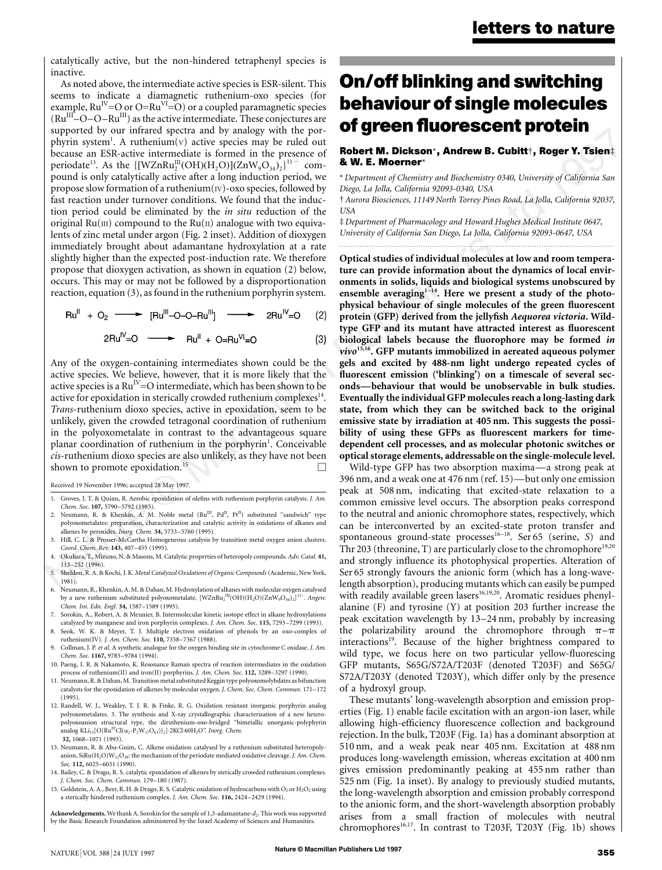catalytically active, but the non-hindered tetraphenyl species is inactive.

As noted above, the intermediate active species is ESR-silent. This seems to indicate a diamagnetic ruthenium-oxo species (for example,  $Ru^{IV} = O$  or  $O=Ru^{VI} = O$ ) or a coupled paramagnetic species  $(Ru^{III}$ – $O$ – $O-Ru^{III}$ ) as the active intermediate. These conjectures are supported by our infrared spectra and by analogy with the porphyrin system<sup>1</sup>. A ruthenium(v) active species may be ruled out because an ESR-active intermediate is formed in the presence of periodate<sup>13</sup>. As the  $\{[WZnRu_2^III(OH)(H_2O)](ZnW_9O_{34})_2\}^{11}$  compound is only catalytically active after a long induction period, we propose slow formation of a ruthenium(IV)-oxo species, followed by fast reaction under turnover conditions. We found that the induction period could be eliminated by the *in situ* reduction of the original  $Ru(III)$  compound to the  $Ru(II)$  analogue with two equivalents of zinc metal under argon (Fig. 2 inset). Addition of dioxygen immediately brought about adamantane hydroxylation at a rate slightly higher than the expected post-induction rate. We therefore propose that dioxygen activation, as shown in equation (2) below, occurs. This may or may not be followed by a disproportionation reaction, equation (3), as found in the ruthenium porphyrin system.

$$
Ru^{II} + O_2 \longrightarrow [Ru^{III} - O - O - Ru^{III}] \longrightarrow 2Ru^{IV} = O (2)
$$

$$
2Ru^{IV}=O \longrightarrow Ru^{II} + O=Ru^{VI}=O
$$
 (3)

Any of the oxygen-containing intermediates shown could be the active species. We believe, however, that it is more likely that the active species is a  $Ru^{\text{IV}}=O$  intermediate, which has been shown to be active for epoxidation in sterically crowded ruthenium complexes $14$ . *Trans*-ruthenium dioxo species, active in epoxidation, seem to be unlikely, given the crowded tetragonal coordination of ruthenium in the polyoxometalate in contrast to the advantageous square planar coordination of ruthenium in the porphyrin<sup>1</sup>. Conceivable *cis*-ruthenium dioxo species are also unlikely, as they have not been shown to promote epoxidation.<sup>15</sup>

Received 19 November 1996; accepted 28 May 1997.

- 1. Groves, J. T. & Quinn, R. Aerobic epoxidation of olefins with ruthenium porphyrin catalysts. *J. Am. Chem. Soc.* **107,** 5790–5792 (1985).
- 2. Neumann, R. & Khenkin, A. M. Noble metal (Ru<sup>III</sup>, Pd<sup>II</sup>, Pt<sup>II</sup>) substituted "sandwich" type polyoxometalates: preparation, characterization and catalytic activity in oxidations of alkanes and alkenes by peroxides. *Inorg. Chem.* **34,** 5733–5760 (1995).
- 3. Hill, C. L. & Prosser-McCartha Homogeneous catalysis by transition metal oxygen anion clusters. *Coord. Chem. Rev.* **143,** 407–455 (1995).
- 4. Okuhara, T., Mizuno, N. & Masons, M. Catalytic properties of heteropoly compounds. *Adv. Catal.* **41,** 113–252 (1996).
- 5. Sheldon, R. A. & Kochi, J. K. *Metal Catalyzed Oxidations of Organic Compounds* (Academic, New York, 1981).
- 6. Neumann, R., Khenkin, A. M. & Dahan, M. Hydroxylation of alkanes with molecular oxygen catalysed by a new ruthenium substituted polyoxometalate, [WZnRu<sub>2</sub><sup>III</sup>(OH)(H<sub>2</sub>O)(ZnW<sub>9</sub>O<sub>34</sub>)<sub>2</sub>]<sup>11−</sup>. *Angew. Chem. Int. Edn. Engl.* **34,** 1587–1589 (1995).
- 7. Sorokin, A., Robert, A. & Meunier, B. Intermolecular kinetic isotope effect in alkane hydroxylations catalyzed by manganese and iron porphyrin complexes. *J. Am. Chem. Soc.* **115,** 7293–7299 (1993). 8. Seok, W. K. & Meyer, T. J. Multiple electron oxidation of phenols by an oxo-complex of
- ruthenium(IV). *J. Am. Chem. Soc.* **110,** 7358–7367 (1988). 9. Collman, J. P. *et al*. A synthetic analogue for the oxygen binding site in cytochrome C oxidase. *J. Am.*
- *Chem. Soc.* **1167,** 9783–9784 (1994). 10. Paeng, I. R. & Nakamoto, K. Resonance Raman spectra of reaction intermediates in the oxidation
- process of ruthenium(II) and iron(II) porphyrins. *J. Am. Chem. Soc.* **112,** 3289–3297 (1990).
- 11. Neumann, R. & Dahan, M. Transition metal substituted Keggin type polyoxomolybdates as bifunction catalysts for the epoxidation of alkenes by molecular oxygen. *J. Chem. Soc. Chem. Commun.* 171–172 (1995).
- 12. Randell, W. J., Weakley, T. J. R. & Finke, R. G. Oxidation resistant inorganic porphyrin analog polyoxometalates. 3. The synthesis and X-ray crystallographic characterization of a new hetero-polyoxoanion structural type, the diruthenium-oxo-bridged ''bimetallic unorganic-polyphyrin analog KLi<sub>15</sub>[O{Ru<sup>IV</sup>Cl( $\alpha_2$ -P<sub>2</sub>W<sub>17</sub>O<sub>61</sub>)}<sub>2</sub>]⋅2KCl⋅60H<sub>2</sub>O". *Inorg. Chem.* **32,** 1068–1071 (1993).
- 13. Neumann, R. & Abu-Gnim, C. Alkene oxidation catalysed by a ruthenium substituted heteropolyanion, SiRu(H<sub>2</sub>O)W<sub>11</sub>O<sub>39</sub>: the mechanism of the periodate mediated oxidative cleavage. *J. Am. Chem. Soc.* **112,** 6025–6031 (1990).
- 14. Bailey, C. & Drago, R. S. catalytic epoxidation of alkenes by sterically crowded ruthenium complexes. *J. Chem. Soc. Chem. Commun.* 179–180 (1987).
- 15. Goldstein, A. A., Beer, R. H. & Drago, R. S. Catalytic oxidation of hydrocarbons with O<sub>2</sub> or H<sub>2</sub>O<sub>2</sub> using a sterically hindered ruthenium complex. *J. Am. Chem. Soc.* **116,** 2424–2429 (1994).

Acknowledgements. We thank A. Sorokin for the sample of 1,3-adamantane- $d_2$ . This work was supported by the Basic Research Foundation administered by the Israel Academy of Sciences and Humanities.

# **On/off blinking and switching behaviour of single molecules of green fluorescent protein**

#### **Robert M. Dickson**\***, Andrew B. Cubitt**†**, Roger Y. Tsien**‡ **& W. E. Moerner**\*

\* *Department of Chemistry and Biochemistry 0340, University of California San Diego, La Jolla, California 92093-0340, USA*

† *Aurora Biosciences, 11149 North Torrey Pines Road, La Jolla, California 92037, USA*

‡ *Department of Pharmacology and Howard Hughes Medical Institute 0647, University of California San Diego, La Jolla, California 92093-0647, USA .........................................................................................................................*

**Optical studies of individual molecules at low and room temperature can provide information about the dynamics of local environments in solids, liquids and biological systems unobscured by** ensemble averaging<sup>1-14</sup>. Here we present a study of the photo**physical behaviour of single molecules of the green fluorescent protein (GFP) derived from the jellyfish** *Aequorea victoria***. Wildtype GFP and its mutant have attracted interest as fluorescent biological labels because the fluorophore may be formed** *in vivo***15,16. GFP mutants immobilized in aereated aqueous polymer gels and excited by 488-nm light undergo repeated cycles of fluorescent emission ('blinking') on a timescale of several seconds—behaviour that would be unobservable in bulk studies. Eventually the individual GFP molecules reach a long-lasting dark state, from which they can be switched back to the original emissive state by irradiation at 405 nm. This suggests the possibility of using these GFPs as fluorescent markers for timedependent cell processes, and as molecular photonic switches or optical storage elements, addressable on the single-molecule level.**

Wild-type GFP has two absorption maxima—a strong peak at 396 nm, and a weak one at 476 nm (ref. 15)—but only one emission peak at 508 nm, indicating that excited-state relaxation to a common emissive level occurs. The absorption peaks correspond to the neutral and anionic chromophore states, respectively, which can be interconverted by an excited-state proton transfer and spontaneous ground-state processes<sup>16-18</sup>. Ser 65 (serine, *S*) and Thr 203 (threonine, T) are particularly close to the chromophore<sup>19,20</sup> and strongly influence its photophysical properties. Alteration of Ser 65 strongly favours the anionic form (which has a long-wavelength absorption), producing mutants which can easily be pumped with readily available green lasers<sup>16,19,20</sup>. Aromatic residues phenylalanine (F) and tyrosine (Y) at position 203 further increase the peak excitation wavelength by 13–24 nm, probably by increasing the polarizability around the chromophore through  $\pi-\pi$ interactions<sup>19</sup>. Because of the higher brightness compared to wild type, we focus here on two particular yellow-fluorescing GFP mutants, S65G/S72A/T203F (denoted T203F) and S65G/ S72A/T203Y (denoted T203Y), which differ only by the presence of a hydroxyl group.

These mutants' long-wavelength absorption and emission properties (Fig. 1) enable facile excitation with an argon-ion laser, while allowing high-efficiency fluorescence collection and background rejection. In the bulk, T203F (Fig. 1a) has a dominant absorption at 510 nm, and a weak peak near 405 nm. Excitation at 488 nm produces long-wavelength emission, whereas excitation at 400 nm gives emission predominantly peaking at 455 nm rather than 525 nm (Fig. 1a inset). By analogy to previously studied mutants, the long-wavelength absorption and emission probably correspond to the anionic form, and the short-wavelength absorption probably arises from a small fraction of molecules with neutral chromophores<sup>16,17</sup>. In contrast to T203F, T203Y (Fig. 1b) shows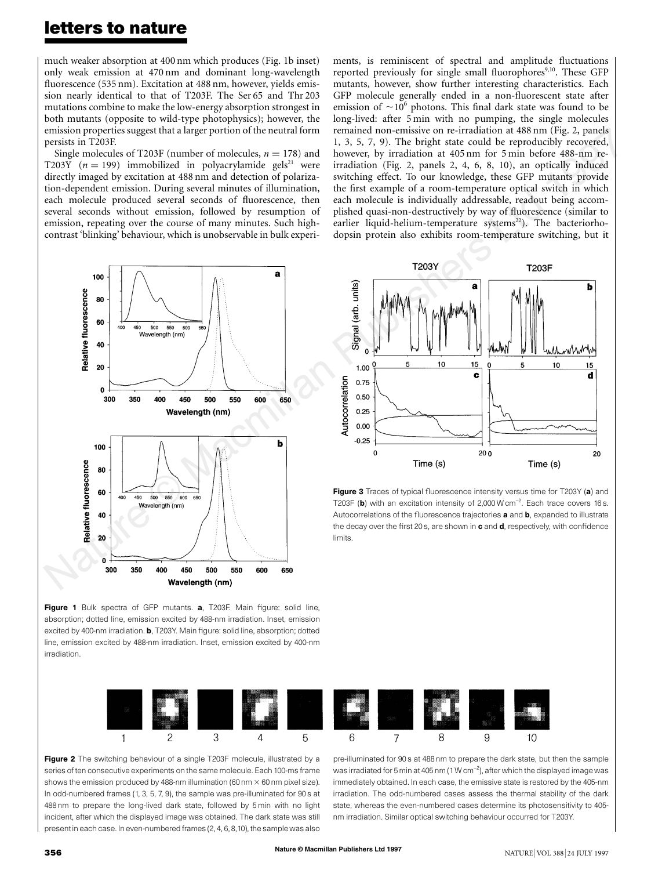### **letters to nature**

much weaker absorption at 400 nm which produces (Fig. 1b inset) only weak emission at 470 nm and dominant long-wavelength fluorescence (535 nm). Excitation at 488 nm, however, yields emission nearly identical to that of T203F. The Ser 65 and Thr 203 mutations combine to make the low-energy absorption strongest in both mutants (opposite to wild-type photophysics); however, the emission properties suggest that a larger portion of the neutral form persists in T203F.

Single molecules of T203F (number of molecules,  $n = 178$ ) and T203Y  $(n = 199)$  immobilized in polyacrylamide gels<sup>21</sup> were directly imaged by excitation at 488 nm and detection of polarization-dependent emission. During several minutes of illumination, each molecule produced several seconds of fluorescence, then several seconds without emission, followed by resumption of emission, repeating over the course of many minutes. Such highcontrast 'blinking' behaviour, which is unobservable in bulk experiments, is reminiscent of spectral and amplitude fluctuations reported previously for single small fluorophores<sup>9,10</sup>. These GFP mutants, however, show further interesting characteristics. Each GFP molecule generally ended in a non-fluorescent state after emission of  $\sim 10^6$  photons. This final dark state was found to be long-lived: after 5 min with no pumping, the single molecules remained non-emissive on re-irradiation at 488 nm (Fig. 2, panels 1, 3, 5, 7, 9). The bright state could be reproducibly recovered, however, by irradiation at 405 nm for 5 min before 488-nm reirradiation (Fig. 2, panels 2, 4, 6, 8, 10), an optically induced switching effect. To our knowledge, these GFP mutants provide the first example of a room-temperature optical switch in which each molecule is individually addressable, readout being accomplished quasi-non-destructively by way of fluorescence (similar to earlier liquid-helium-temperature systems<sup>22</sup>). The bacteriorhodopsin protein also exhibits room-temperature switching, but it



Figure 1 Bulk spectra of GFP mutants. a, T203F. Main figure: solid line, absorption; dotted line, emission excited by 488-nm irradiation. Inset, emission excited by 400-nm irradiation. **b**, T203Y. Main figure: solid line, absorption; dotted line, emission excited by 488-nm irradiation. Inset, emission excited by 400-nm irradiation.



Figure 3 Traces of typical fluorescence intensity versus time for T203Y (a) and T203F (b) with an excitation intensity of 2,000W cm<sup>-2</sup>. Each trace covers 16 s. Autocorrelations of the fluorescence trajectories a and b, expanded to illustrate the decay over the first 20 s, are shown in c and d, respectively, with confidence limits.



Figure 2 The switching behaviour of a single T203F molecule, illustrated by a series of ten consecutive experiments on the same molecule. Each 100-ms frame shows the emission produced by 488-nm illumination (60 nm  $\times$  60 nm pixel size). In odd-numbered frames (1, 3, 5, 7, 9), the sample was pre-illuminated for 90 s at 488 nm to prepare the long-lived dark state, followed by 5 min with no light incident, after which the displayed image was obtained. The dark state was still present in each case. In even-numbered frames (2, 4, 6, 8,10), the sample was also

pre-illuminated for 90 s at 488 nm to prepare the dark state, but then the sample was irradiated for 5 min at 405 nm (1 W cm $^{-2}$ ), after which the displayed image was immediately obtained. In each case, the emissive state is restored by the 405-nm irradiation. The odd-numbered cases assess the thermal stability of the dark state, whereas the even-numbered cases determine its photosensitivity to 405 nm irradiation. Similar optical switching behaviour occurred for T203Y.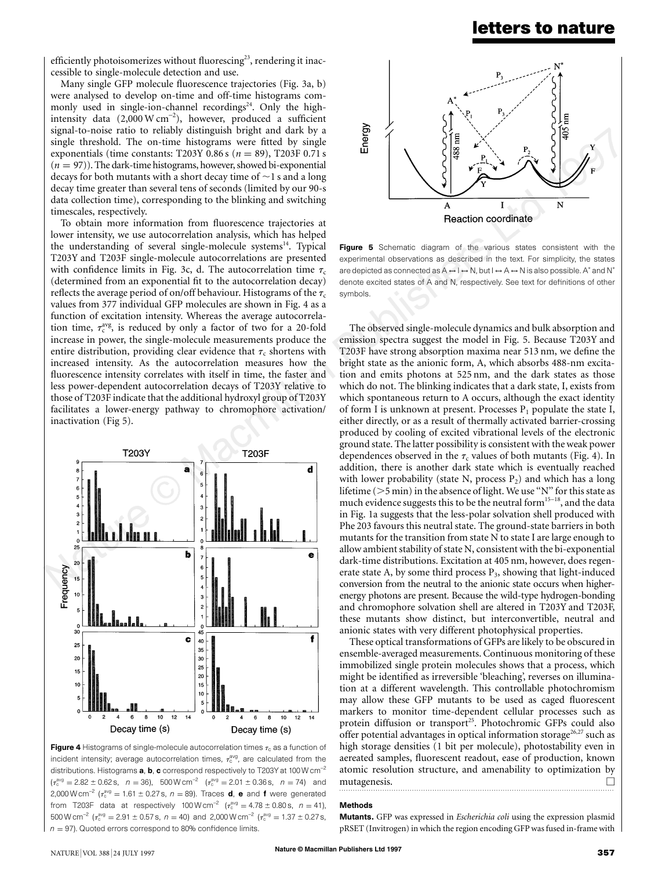### **letters to nature**

efficiently photoisomerizes without fluorescing<sup>23</sup>, rendering it inaccessible to single-molecule detection and use.

Many single GFP molecule fluorescence trajectories (Fig. 3a, b) were analysed to develop on-time and off-time histograms commonly used in single-ion-channel recordings<sup>24</sup>. Only the highintensity data (2,000 W cm<sup>−</sup><sup>2</sup> ), however, produced a sufficient signal-to-noise ratio to reliably distinguish bright and dark by a single threshold. The on-time histograms were fitted by single exponentials (time constants: T203Y 0.86 s ( $n = 89$ ), T203F 0.71 s  $(n = 97)$ ). The dark-time histograms, however, showed bi-exponential decays for both mutants with a short decay time of  $\sim$ 1 s and a long decay time greater than several tens of seconds (limited by our 90-s data collection time), corresponding to the blinking and switching timescales, respectively.

To obtain more information from fluorescence trajectories at lower intensity, we use autocorrelation analysis, which has helped the understanding of several single-molecule systems $^{14}$ . Typical T203Y and T203F single-molecule autocorrelations are presented with confidence limits in Fig. 3c, d. The autocorrelation time  $\tau_c$ (determined from an exponential fit to the autocorrelation decay) reflects the average period of on/off behaviour. Histograms of the  $\tau_c$ values from 377 individual GFP molecules are shown in Fig. 4 as a function of excitation intensity. Whereas the average autocorrelation time,  $\tau_c^{avg}$ , is reduced by only a factor of two for a 20-fold increase in power, the single-molecule measurements produce the entire distribution, providing clear evidence that  $\tau_c$  shortens with increased intensity. As the autocorrelation measures how the fluorescence intensity correlates with itself in time, the faster and less power-dependent autocorrelation decays of T203Y relative to those of T203F indicate that the additional hydroxyl group of T203Y facilitates a lower-energy pathway to chromophore activation/ inactivation (Fig 5).



Figure 4 Histograms of single-molecule autocorrelation times  $\tau_c$  as a function of incident intensity; average autocorrelation times,  $\tau_c^{\text{avg}}$ , are calculated from the distributions. Histograms **a, b, c** correspond respectively to T203Y at 100 W cm<sup>-2</sup>  $(\tau_c^{\text{avg}} = 2.82 \pm 0.62 \text{ s}, \ \ n = 36)$ , 500 W cm<sup>-2</sup>  $(\tau_c^{\text{avg}} = 2.01 \pm 0.36 \text{ s}, \ \ n = 74)$  and 2,000 W cm<sup>-2</sup> ( $\tau_c^{avg} = 1.61 \pm 0.27$  s,  $n = 89$ ). Traces **d, e** and **f** were generated from T203F data at respectively 100W cm<sup>-2</sup> ( $\tau_c^{\text{avg}} = 4.78 \pm 0.80 \text{ s}$ ,  $n = 41$ ),  $500 \,\mathrm{W \, cm^{-2}}$  ( $\tau_c^{\text{avg}} = 2.91 \pm 0.57 \,\mathrm{s}, n = 40$ ) and 2,000 W cm<sup>-2</sup> ( $\tau_c^{\text{avg}} = 1.37 \pm 0.27 \,\mathrm{s},$  $n = 97$ ). Quoted errors correspond to 80% confidence limits.



Figure 5 Schematic diagram of the various states consistent with the experimental observations as described in the text. For simplicity, the states are depicted as connected as  $A \leftrightarrow I \leftrightarrow N$ , but  $I \leftrightarrow A \leftrightarrow N$  is also possible. A\* and N\* denote excited states of A and N, respectively. See text for definitions of other symbols.

The observed single-molecule dynamics and bulk absorption and emission spectra suggest the model in Fig. 5. Because T203Y and T203F have strong absorption maxima near 513 nm, we define the bright state as the anionic form, A, which absorbs 488-nm excitation and emits photons at 525 nm, and the dark states as those which do not. The blinking indicates that a dark state, I, exists from which spontaneous return to A occurs, although the exact identity of form I is unknown at present. Processes  $P_1$  populate the state I, either directly, or as a result of thermally activated barrier-crossing produced by cooling of excited vibrational levels of the electronic ground state. The latter possibility is consistent with the weak power dependences observed in the  $\tau_c$  values of both mutants (Fig. 4). In addition, there is another dark state which is eventually reached with lower probability (state N, process  $P_2$ ) and which has a long lifetime ( $>$ 5 min) in the absence of light. We use "N" for this state as much evidence suggests this to be the neutral form<sup>15–18</sup>, and the data in Fig. 1a suggests that the less-polar solvation shell produced with Phe 203 favours this neutral state. The ground-state barriers in both mutants for the transition from state N to state I are large enough to allow ambient stability of state N, consistent with the bi-exponential dark-time distributions. Excitation at 405 nm, however, does regenerate state A, by some third process  $P_3$ , showing that light-induced conversion from the neutral to the anionic state occurs when higherenergy photons are present. Because the wild-type hydrogen-bonding and chromophore solvation shell are altered in T203Y and T203F, these mutants show distinct, but interconvertible, neutral and anionic states with very different photophysical properties.

These optical transformations of GFPs are likely to be obscured in ensemble-averaged measurements. Continuous monitoring of these immobilized single protein molecules shows that a process, which might be identified as irreversible 'bleaching', reverses on illumination at a different wavelength. This controllable photochromism may allow these GFP mutants to be used as caged fluorescent markers to monitor time-dependent cellular processes such as protein diffusion or transport<sup>25</sup>. Photochromic GFPs could also offer potential advantages in optical information storage<sup>26,27</sup> such as high storage densities (1 bit per molecule), photostability even in aereated samples, fluorescent readout, ease of production, known atomic resolution structure, and amenability to optimization by mutagenesis.

#### Methods

Mutants. GFP was expressed in *Escherichia coli* using the expression plasmid pRSET (Invitrogen) in which the region encoding GFP was fused in-frame with